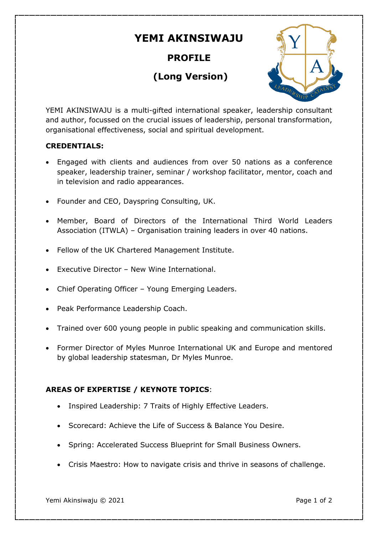# **YEMI AKINSIWAJU**

# **PROFILE**

# **(Long Version)**



YEMI AKINSIWAJU is a multi-gifted international speaker, leadership consultant and author, focussed on the crucial issues of leadership, personal transformation, organisational effectiveness, social and spiritual development.

# **CREDENTIALS:**

- Engaged with clients and audiences from over 50 nations as a conference speaker, leadership trainer, seminar / workshop facilitator, mentor, coach and in television and radio appearances.
- Founder and CEO, Dayspring Consulting, UK.
- Member, Board of Directors of the International Third World Leaders Association (ITWLA) – Organisation training leaders in over 40 nations.
- Fellow of the UK Chartered Management Institute.
- Executive Director New Wine International.
- Chief Operating Officer Young Emerging Leaders.
- Peak Performance Leadership Coach.
- Trained over 600 young people in public speaking and communication skills.
- Former Director of Myles Munroe International UK and Europe and mentored by global leadership statesman, Dr Myles Munroe.

# **AREAS OF EXPERTISE / KEYNOTE TOPICS**:

- Inspired Leadership: 7 Traits of Highly Effective Leaders.
- Scorecard: Achieve the Life of Success & Balance You Desire.
- Spring: Accelerated Success Blueprint for Small Business Owners.
- Crisis Maestro: How to navigate crisis and thrive in seasons of challenge.